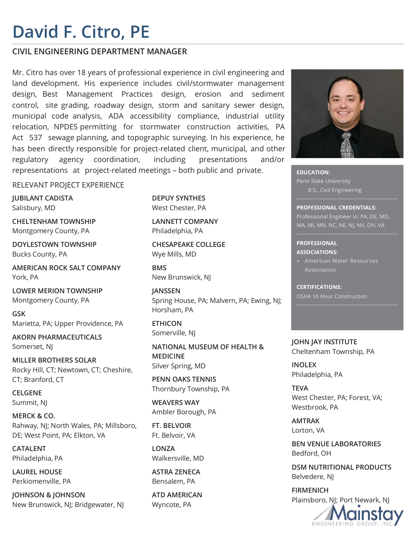## **David F. Citro, PE**

### **CIVIL ENGINEERING DEPARTMENT MANAGER**

Mr. Citro has over 18 years of professional experience in civil engineering and land development. His experience includes civil/stormwater management design, Best Management Practices design, erosion and sediment control, site grading, roadway design, storm and sanitary sewer design, municipal code analysis, ADA accessibility compliance, industrial utility relocation, NPDES permitting for stormwater construction activities, PA Act 537 sewage planning, and topographic surveying. In his experience, he has been directly responsible for project-related client, municipal, and other regulatory agency coordination, including presentations and/or representations at project-related meetings – both public and private.

### RELEVANT PROJECT EXPERIENCE

**JUBILANT CADISTA** Salisbury, MD

**CHELTENHAM TOWNSHIP** Montgomery County, PA

**DOYLESTOWN TOWNSHIP** Bucks County, PA

**AMERICAN ROCK SALT COMPANY** York, PA

**LOWER MERION TOWNSHIP** Montgomery County, PA

**GSK** Marietta, PA; Upper Providence, PA

**AKORN PHARMACEUTICALS** Somerset, NJ

**MILLER BROTHERS SOLAR** Rocky Hill, CT; Newtown, CT; Cheshire, CT; Branford, CT

**CELGENE** Summit, NJ

**MERCK & CO.** Rahway, NJ; North Wales, PA; Millsboro, DE; West Point, PA; Elkton, VA

**CATALENT** Philadelphia, PA

**LAUREL HOUSE** Perkiomenville, PA

**JOHNSON & JOHNSON** New Brunswick, NJ; Bridgewater, NJ **DEPUY SYNTHES** West Chester, PA

**LANNETT COMPANY** Philadelphia, PA

**CHESAPEAKE COLLEGE** Wye Mills, MD

**BMS** New Brunswick, NJ

**JANSSEN** Spring House, PA; Malvern, PA; Ewing, NJ; Horsham, PA

**ETHICON** Somerville, NJ

**NATIONAL MUSEUM OF HEALTH & MEDICINE** Silver Spring, MD

**PENN OAKS TENNIS** Thornbury Township, PA

**WEAVERS WAY** Ambler Borough, PA

**FT. BELVOIR** Ft. Belvoir, VA

**LONZA** Walkersville, MD

**ASTRA ZENECA** Bensalem, PA

**ATD AMERICAN** Wyncote, PA



**EDUCATION:**  Penn State University B.S., Civil Engineering

**PROFESSIONAL CREDENTIALS:**  Professional Engineer in: PA, DE, MD, MA, MI, MN, NC, NE, NJ, NV, OH, VA

#### **PROFESSIONAL ASSOCIATIONS:**

▪ American Water Resources Association

**CERTIFICATIONS:**  OSHA 10 Hour Construction

**JOHN JAY INSTITUTE** Cheltenham Township, PA

**INOLEX** Philadelphia, PA

**TEVA** West Chester, PA; Forest, VA; Westbrook, PA

**AMTRAK** Lorton, VA

**BEN VENUE LABORATORIES** Bedford, OH

**DSM NUTRITIONAL PRODUCTS** Belvedere, NJ

**FIRMENICH** Plainsboro, NJ; Port Newark, NJ